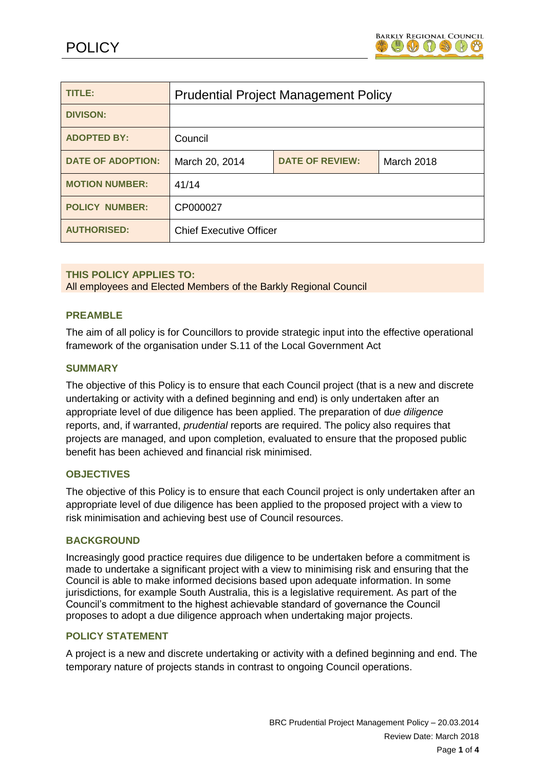

| <b>TITLE:</b>            | <b>Prudential Project Management Policy</b> |                        |            |
|--------------------------|---------------------------------------------|------------------------|------------|
| <b>DIVISON:</b>          |                                             |                        |            |
| <b>ADOPTED BY:</b>       | Council                                     |                        |            |
| <b>DATE OF ADOPTION:</b> | March 20, 2014                              | <b>DATE OF REVIEW:</b> | March 2018 |
| <b>MOTION NUMBER:</b>    | 41/14                                       |                        |            |
| <b>POLICY NUMBER:</b>    | CP000027                                    |                        |            |
| <b>AUTHORISED:</b>       | <b>Chief Executive Officer</b>              |                        |            |

# **THIS POLICY APPLIES TO:**

All employees and Elected Members of the Barkly Regional Council

# **PREAMBLE**

The aim of all policy is for Councillors to provide strategic input into the effective operational framework of the organisation under S.11 of the Local Government Act

### **SUMMARY**

The objective of this Policy is to ensure that each Council project (that is a new and discrete undertaking or activity with a defined beginning and end) is only undertaken after an appropriate level of due diligence has been applied. The preparation of d*ue diligence* reports, and, if warranted, *prudential* reports are required. The policy also requires that projects are managed, and upon completion, evaluated to ensure that the proposed public benefit has been achieved and financial risk minimised.

### **OBJECTIVES**

The objective of this Policy is to ensure that each Council project is only undertaken after an appropriate level of due diligence has been applied to the proposed project with a view to risk minimisation and achieving best use of Council resources.

### **BACKGROUND**

Increasingly good practice requires due diligence to be undertaken before a commitment is made to undertake a significant project with a view to minimising risk and ensuring that the Council is able to make informed decisions based upon adequate information. In some jurisdictions, for example South Australia, this is a legislative requirement. As part of the Council's commitment to the highest achievable standard of governance the Council proposes to adopt a due diligence approach when undertaking major projects.

## **POLICY STATEMENT**

A project is a new and discrete undertaking or activity with a defined beginning and end. The temporary nature of projects stands in contrast to ongoing Council operations.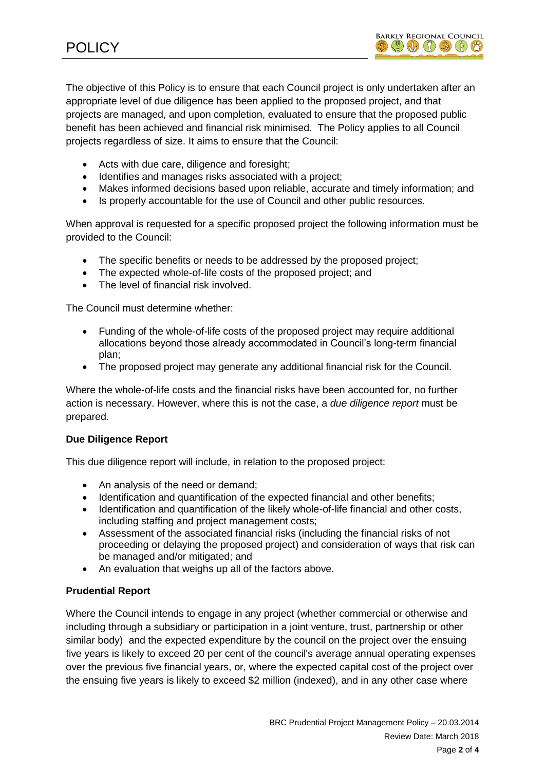The objective of this Policy is to ensure that each Council project is only undertaken after an appropriate level of due diligence has been applied to the proposed project, and that projects are managed, and upon completion, evaluated to ensure that the proposed public benefit has been achieved and financial risk minimised. The Policy applies to all Council projects regardless of size. It aims to ensure that the Council:

- Acts with due care, diligence and foresight;
- Identifies and manages risks associated with a project;
- Makes informed decisions based upon reliable, accurate and timely information; and
- Is properly accountable for the use of Council and other public resources.

When approval is requested for a specific proposed project the following information must be provided to the Council:

- The specific benefits or needs to be addressed by the proposed project;
- The expected whole-of-life costs of the proposed project: and
- The level of financial risk involved.

The Council must determine whether:

- Funding of the whole-of-life costs of the proposed project may require additional allocations beyond those already accommodated in Council's long-term financial plan;
- The proposed project may generate any additional financial risk for the Council.

Where the whole-of-life costs and the financial risks have been accounted for, no further action is necessary. However, where this is not the case, a *due diligence report* must be prepared.

# **Due Diligence Report**

This due diligence report will include, in relation to the proposed project:

- An analysis of the need or demand:
- Identification and quantification of the expected financial and other benefits;
- Identification and quantification of the likely whole-of-life financial and other costs, including staffing and project management costs;
- Assessment of the associated financial risks (including the financial risks of not proceeding or delaying the proposed project) and consideration of ways that risk can be managed and/or mitigated; and
- An evaluation that weighs up all of the factors above.

# **Prudential Report**

Where the Council intends to engage in any project (whether commercial or otherwise and including through a subsidiary or participation in a joint venture, trust, partnership or other similar body) and the expected expenditure by the council on the project over the ensuing five years is likely to exceed 20 per cent of the council's average annual operating expenses over the previous five financial years, or, where the expected capital cost of the project over the ensuing five years is likely to exceed \$2 million (indexed), and in any other case where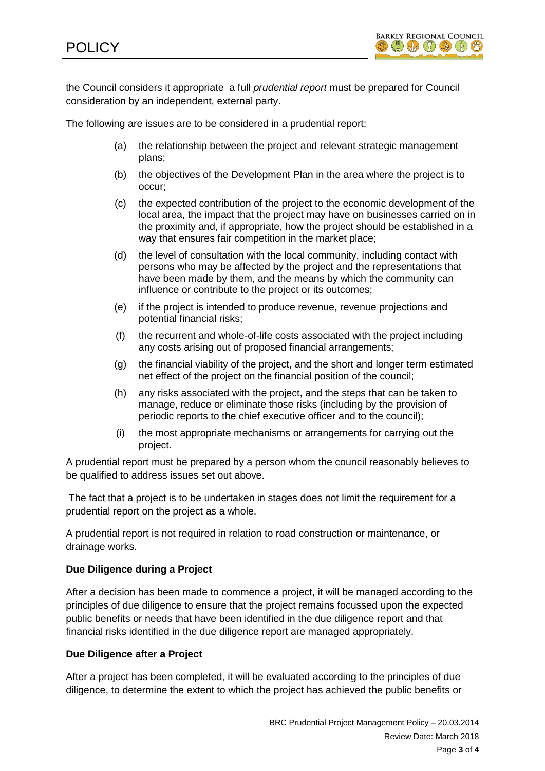

the Council considers it appropriate a full *prudential report* must be prepared for Council consideration by an independent, external party.

The following are issues are to be considered in a prudential report:

- (a) the relationship between the project and relevant strategic management plans;
- (b) the objectives of the Development Plan in the area where the project is to occur;
- (c) the expected contribution of the project to the economic development of the local area, the impact that the project may have on businesses carried on in the proximity and, if appropriate, how the project should be established in a way that ensures fair competition in the market place;
- (d) the level of consultation with the local community, including contact with persons who may be affected by the project and the representations that have been made by them, and the means by which the community can influence or contribute to the project or its outcomes;
- (e) if the project is intended to produce revenue, revenue projections and potential financial risks;
- (f) the recurrent and whole-of-life costs associated with the project including any costs arising out of proposed financial arrangements;
- (g) the financial viability of the project, and the short and longer term estimated net effect of the project on the financial position of the council;
- (h) any risks associated with the project, and the steps that can be taken to manage, reduce or eliminate those risks (including by the provision of periodic reports to the chief executive officer and to the council);
- (i) the most appropriate mechanisms or arrangements for carrying out the project.

A prudential report must be prepared by a person whom the council reasonably believes to be qualified to address issues set out above.

The fact that a project is to be undertaken in stages does not limit the requirement for a prudential report on the project as a whole.

A prudential report is not required in relation to road construction or maintenance, or drainage works.

# **Due Diligence during a Project**

After a decision has been made to commence a project, it will be managed according to the principles of due diligence to ensure that the project remains focussed upon the expected public benefits or needs that have been identified in the due diligence report and that financial risks identified in the due diligence report are managed appropriately.

# **Due Diligence after a Project**

After a project has been completed, it will be evaluated according to the principles of due diligence, to determine the extent to which the project has achieved the public benefits or